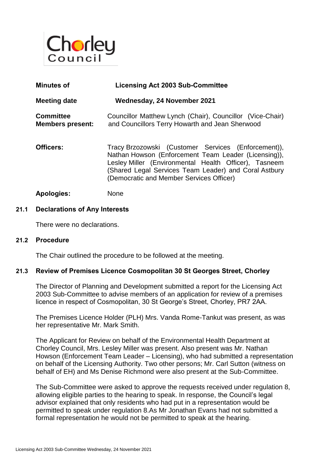

| <b>Minutes of</b>                           | <b>Licensing Act 2003 Sub-Committee</b>                                                                                                                                                                                                                                   |
|---------------------------------------------|---------------------------------------------------------------------------------------------------------------------------------------------------------------------------------------------------------------------------------------------------------------------------|
| <b>Meeting date</b>                         | Wednesday, 24 November 2021                                                                                                                                                                                                                                               |
| <b>Committee</b><br><b>Members present:</b> | Councillor Matthew Lynch (Chair), Councillor (Vice-Chair)<br>and Councillors Terry Howarth and Jean Sherwood                                                                                                                                                              |
| Officers:                                   | Tracy Brzozowski (Customer Services (Enforcement)),<br>Nathan Howson (Enforcement Team Leader (Licensing)),<br>Lesley Miller (Environmental Health Officer), Tasneem<br>(Shared Legal Services Team Leader) and Coral Astbury<br>(Democratic and Member Services Officer) |

## **Apologies:** None

### **21.1 Declarations of Any Interests**

There were no declarations.

### **21.2 Procedure**

The Chair outlined the procedure to be followed at the meeting.

### **21.3 Review of Premises Licence Cosmopolitan 30 St Georges Street, Chorley**

The Director of Planning and Development submitted a report for the Licensing Act 2003 Sub-Committee to advise members of an application for review of a premises licence in respect of Cosmopolitan, 30 St George's Street, Chorley, PR7 2AA.

The Premises Licence Holder (PLH) Mrs. Vanda Rome-Tankut was present, as was her representative Mr. Mark Smith.

The Applicant for Review on behalf of the Environmental Health Department at Chorley Council, Mrs. Lesley Miller was present. Also present was Mr. Nathan Howson (Enforcement Team Leader – Licensing), who had submitted a representation on behalf of the Licensing Authority. Two other persons; Mr. Carl Sutton (witness on behalf of EH) and Ms Denise Richmond were also present at the Sub-Committee.

The Sub-Committee were asked to approve the requests received under regulation 8, allowing eligible parties to the hearing to speak. In response, the Council's legal advisor explained that only residents who had put in a representation would be permitted to speak under regulation 8.As Mr Jonathan Evans had not submitted a formal representation he would not be permitted to speak at the hearing.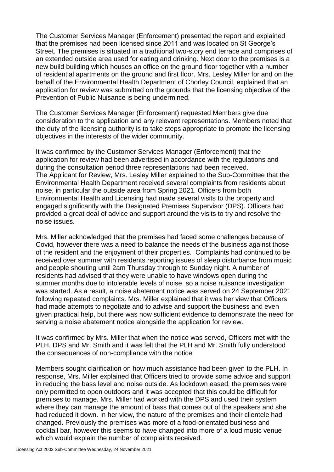The Customer Services Manager (Enforcement) presented the report and explained that the premises had been licensed since 2011 and was located on St George's Street. The premises is situated in a traditional two-story end terrace and comprises of an extended outside area used for eating and drinking. Next door to the premises is a new build building which houses an office on the ground floor together with a number of residential apartments on the ground and first floor. Mrs. Lesley Miller for and on the behalf of the Environmental Health Department of Chorley Council, explained that an application for review was submitted on the grounds that the licensing objective of the Prevention of Public Nuisance is being undermined.

The Customer Services Manager (Enforcement) requested Members give due consideration to the application and any relevant representations. Members noted that the duty of the licensing authority is to take steps appropriate to promote the licensing objectives in the interests of the wider community.

It was confirmed by the Customer Services Manager (Enforcement) that the application for review had been advertised in accordance with the regulations and during the consultation period three representations had been received. The Applicant for Review, Mrs. Lesley Miller explained to the Sub-Committee that the Environmental Health Department received several complaints from residents about noise, in particular the outside area from Spring 2021. Officers from both Environmental Health and Licensing had made several visits to the property and engaged significantly with the Designated Premises Supervisor (DPS). Officers had provided a great deal of advice and support around the visits to try and resolve the noise issues.

Mrs. Miller acknowledged that the premises had faced some challenges because of Covid, however there was a need to balance the needs of the business against those of the resident and the enjoyment of their properties. Complaints had continued to be received over summer with residents reporting issues of sleep disturbance from music and people shouting until 2am Thursday through to Sunday night. A number of residents had advised that they were unable to have windows open during the summer months due to intolerable levels of noise, so a noise nuisance investigation was started. As a result, a noise abatement notice was served on 24 September 2021 following repeated complaints. Mrs. Miller explained that it was her view that Officers had made attempts to negotiate and to advise and support the business and even given practical help, but there was now sufficient evidence to demonstrate the need for serving a noise abatement notice alongside the application for review.

It was confirmed by Mrs. Miller that when the notice was served, Officers met with the PLH, DPS and Mr. Smith and it was felt that the PLH and Mr. Smith fully understood the consequences of non-compliance with the notice.

Members sought clarification on how much assistance had been given to the PLH. In response, Mrs. Miller explained that Officers tried to provide some advice and support in reducing the bass level and noise outside. As lockdown eased, the premises were only permitted to open outdoors and it was accepted that this could be difficult for premises to manage. Mrs. Miller had worked with the DPS and used their system where they can manage the amount of bass that comes out of the speakers and she had reduced it down. In her view, the nature of the premises and their clientele had changed. Previously the premises was more of a food-orientated business and cocktail bar, however this seems to have changed into more of a loud music venue which would explain the number of complaints received.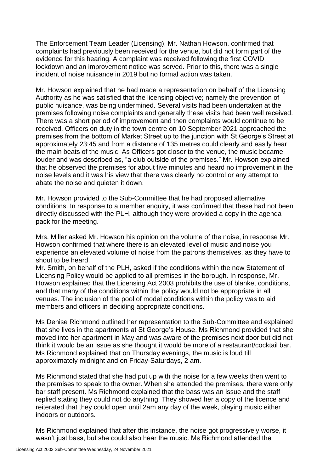The Enforcement Team Leader (Licensing), Mr. Nathan Howson, confirmed that complaints had previously been received for the venue, but did not form part of the evidence for this hearing. A complaint was received following the first COVID lockdown and an improvement notice was served. Prior to this, there was a single incident of noise nuisance in 2019 but no formal action was taken.

Mr. Howson explained that he had made a representation on behalf of the Licensing Authority as he was satisfied that the licensing objective; namely the prevention of public nuisance, was being undermined. Several visits had been undertaken at the premises following noise complaints and generally these visits had been well received. There was a short period of improvement and then complaints would continue to be received. Officers on duty in the town centre on 10 September 2021 approached the premises from the bottom of Market Street up to the junction with St George's Street at approximately 23:45 and from a distance of 135 metres could clearly and easily hear the main beats of the music. As Officers got closer to the venue, the music became louder and was described as, "a club outside of the premises." Mr. Howson explained that he observed the premises for about five minutes and heard no improvement in the noise levels and it was his view that there was clearly no control or any attempt to abate the noise and quieten it down.

Mr. Howson provided to the Sub-Committee that he had proposed alternative conditions. In response to a member enquiry, it was confirmed that these had not been directly discussed with the PLH, although they were provided a copy in the agenda pack for the meeting.

Mrs. Miller asked Mr. Howson his opinion on the volume of the noise, in response Mr. Howson confirmed that where there is an elevated level of music and noise you experience an elevated volume of noise from the patrons themselves, as they have to shout to be heard.

Mr. Smith, on behalf of the PLH, asked if the conditions within the new Statement of Licensing Policy would be applied to all premises in the borough. In response, Mr. Howson explained that the Licensing Act 2003 prohibits the use of blanket conditions, and that many of the conditions within the policy would not be appropriate in all venues. The inclusion of the pool of model conditions within the policy was to aid members and officers in deciding appropriate conditions.

Ms Denise Richmond outlined her representation to the Sub-Committee and explained that she lives in the apartments at St George's House. Ms Richmond provided that she moved into her apartment in May and was aware of the premises next door but did not think it would be an issue as she thought it would be more of a restaurant/cocktail bar. Ms Richmond explained that on Thursday evenings, the music is loud till approximately midnight and on Friday-Saturdays, 2 am.

Ms Richmond stated that she had put up with the noise for a few weeks then went to the premises to speak to the owner. When she attended the premises, there were only bar staff present. Ms Richmond explained that the bass was an issue and the staff replied stating they could not do anything. They showed her a copy of the licence and reiterated that they could open until 2am any day of the week, playing music either indoors or outdoors.

Ms Richmond explained that after this instance, the noise got progressively worse, it wasn't just bass, but she could also hear the music. Ms Richmond attended the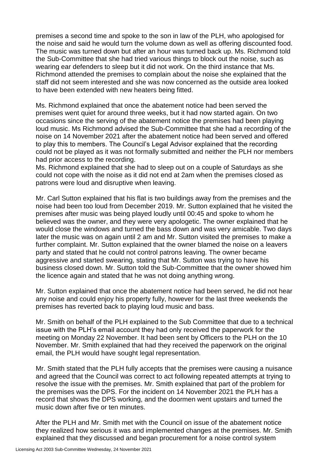premises a second time and spoke to the son in law of the PLH, who apologised for the noise and said he would turn the volume down as well as offering discounted food. The music was turned down but after an hour was turned back up. Ms. Richmond told the Sub-Committee that she had tried various things to block out the noise, such as wearing ear defenders to sleep but it did not work. On the third instance that Ms. Richmond attended the premises to complain about the noise she explained that the staff did not seem interested and she was now concerned as the outside area looked to have been extended with new heaters being fitted.

Ms. Richmond explained that once the abatement notice had been served the premises went quiet for around three weeks, but it had now started again. On two occasions since the serving of the abatement notice the premises had been playing loud music. Ms Richmond advised the Sub-Committee that she had a recording of the noise on 14 November 2021 after the abatement notice had been served and offered to play this to members. The Council's Legal Advisor explained that the recording could not be played as it was not formally submitted and neither the PLH nor members had prior access to the recording.

Ms. Richmond explained that she had to sleep out on a couple of Saturdays as she could not cope with the noise as it did not end at 2am when the premises closed as patrons were loud and disruptive when leaving.

Mr. Carl Sutton explained that his flat is two buildings away from the premises and the noise had been too loud from December 2019. Mr. Sutton explained that he visited the premises after music was being played loudly until 00:45 and spoke to whom he believed was the owner, and they were very apologetic. The owner explained that he would close the windows and turned the bass down and was very amicable. Two days later the music was on again until 2 am and Mr. Sutton visited the premises to make a further complaint. Mr. Sutton explained that the owner blamed the noise on a leavers party and stated that he could not control patrons leaving. The owner became aggressive and started swearing, stating that Mr. Sutton was trying to have his business closed down. Mr. Sutton told the Sub-Committee that the owner showed him the licence again and stated that he was not doing anything wrong.

Mr. Sutton explained that once the abatement notice had been served, he did not hear any noise and could enjoy his property fully, however for the last three weekends the premises has reverted back to playing loud music and bass.

Mr. Smith on behalf of the PLH explained to the Sub Committee that due to a technical issue with the PLH's email account they had only received the paperwork for the meeting on Monday 22 November. It had been sent by Officers to the PLH on the 10 November. Mr. Smith explained that had they received the paperwork on the original email, the PLH would have sought legal representation.

Mr. Smith stated that the PLH fully accepts that the premises were causing a nuisance and agreed that the Council was correct to act following repeated attempts at trying to resolve the issue with the premises. Mr. Smith explained that part of the problem for the premises was the DPS. For the incident on 14 November 2021 the PLH has a record that shows the DPS working, and the doormen went upstairs and turned the music down after five or ten minutes.

After the PLH and Mr. Smith met with the Council on issue of the abatement notice they realized how serious it was and implemented changes at the premises. Mr. Smith explained that they discussed and began procurement for a noise control system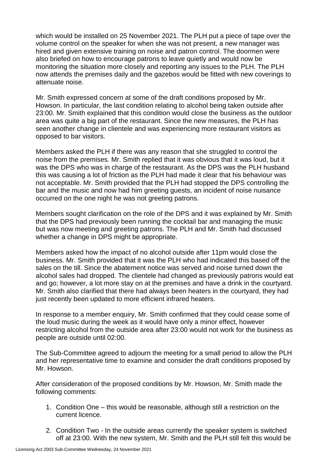which would be installed on 25 November 2021. The PLH put a piece of tape over the volume control on the speaker for when she was not present, a new manager was hired and given extensive training on noise and patron control. The doormen were also briefed on how to encourage patrons to leave quietly and would now be monitoring the situation more closely and reporting any issues to the PLH. The PLH now attends the premises daily and the gazebos would be fitted with new coverings to attenuate noise.

Mr. Smith expressed concern at some of the draft conditions proposed by Mr. Howson. In particular, the last condition relating to alcohol being taken outside after 23:00. Mr. Smith explained that this condition would close the business as the outdoor area was quite a big part of the restaurant. Since the new measures, the PLH has seen another change in clientele and was experiencing more restaurant visitors as opposed to bar visitors.

Members asked the PLH if there was any reason that she struggled to control the noise from the premises. Mr. Smith replied that it was obvious that it was loud, but it was the DPS who was in charge of the restaurant. As the DPS was the PLH husband this was causing a lot of friction as the PLH had made it clear that his behaviour was not acceptable. Mr. Smith provided that the PLH had stopped the DPS controlling the bar and the music and now had him greeting guests, an incident of noise nuisance occurred on the one night he was not greeting patrons.

Members sought clarification on the role of the DPS and it was explained by Mr. Smith that the DPS had previously been running the cocktail bar and managing the music but was now meeting and greeting patrons. The PLH and Mr. Smith had discussed whether a change in DPS might be appropriate.

Members asked how the impact of no alcohol outside after 11pm would close the business. Mr. Smith provided that it was the PLH who had indicated this based off the sales on the till. Since the abatement notice was served and noise turned down the alcohol sales had dropped. The clientele had changed as previously patrons would eat and go; however, a lot more stay on at the premises and have a drink in the courtyard. Mr. Smith also clarified that there had always been heaters in the courtyard, they had just recently been updated to more efficient infrared heaters.

In response to a member enquiry, Mr. Smith confirmed that they could cease some of the loud music during the week as it would have only a minor effect, however restricting alcohol from the outside area after 23:00 would not work for the business as people are outside until 02:00.

The Sub-Committee agreed to adjourn the meeting for a small period to allow the PLH and her representative time to examine and consider the draft conditions proposed by Mr. Howson.

After consideration of the proposed conditions by Mr. Howson, Mr. Smith made the following comments:

- 1. Condition One this would be reasonable, although still a restriction on the current licence.
- 2. Condition Two In the outside areas currently the speaker system is switched off at 23:00. With the new system, Mr. Smith and the PLH still felt this would be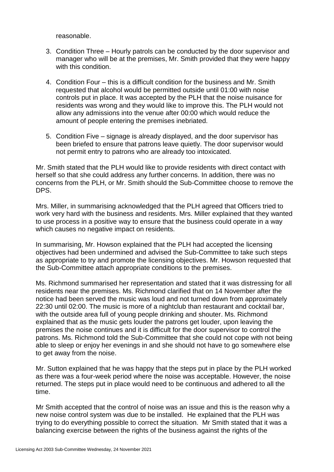reasonable.

- 3. Condition Three Hourly patrols can be conducted by the door supervisor and manager who will be at the premises, Mr. Smith provided that they were happy with this condition
- 4. Condition Four this is a difficult condition for the business and Mr. Smith requested that alcohol would be permitted outside until 01:00 with noise controls put in place. It was accepted by the PLH that the noise nuisance for residents was wrong and they would like to improve this. The PLH would not allow any admissions into the venue after 00:00 which would reduce the amount of people entering the premises inebriated.
- 5. Condition Five signage is already displayed, and the door supervisor has been briefed to ensure that patrons leave quietly. The door supervisor would not permit entry to patrons who are already too intoxicated.

Mr. Smith stated that the PLH would like to provide residents with direct contact with herself so that she could address any further concerns. In addition, there was no concerns from the PLH, or Mr. Smith should the Sub-Committee choose to remove the DPS.

Mrs. Miller, in summarising acknowledged that the PLH agreed that Officers tried to work very hard with the business and residents. Mrs. Miller explained that they wanted to use process in a positive way to ensure that the business could operate in a way which causes no negative impact on residents.

In summarising, Mr. Howson explained that the PLH had accepted the licensing objectives had been undermined and advised the Sub-Committee to take such steps as appropriate to try and promote the licensing objectives. Mr. Howson requested that the Sub-Committee attach appropriate conditions to the premises.

Ms. Richmond summarised her representation and stated that it was distressing for all residents near the premises. Ms. Richmond clarified that on 14 November after the notice had been served the music was loud and not turned down from approximately 22:30 until 02:00. The music is more of a nightclub than restaurant and cocktail bar, with the outside area full of young people drinking and shouter. Ms. Richmond explained that as the music gets louder the patrons get louder, upon leaving the premises the noise continues and it is difficult for the door supervisor to control the patrons. Ms. Richmond told the Sub-Committee that she could not cope with not being able to sleep or enjoy her evenings in and she should not have to go somewhere else to get away from the noise.

Mr. Sutton explained that he was happy that the steps put in place by the PLH worked as there was a four-week period where the noise was acceptable. However, the noise returned. The steps put in place would need to be continuous and adhered to all the time.

Mr Smith accepted that the control of noise was an issue and this is the reason why a new noise control system was due to be installed. He explained that the PLH was trying to do everything possible to correct the situation. Mr Smith stated that it was a balancing exercise between the rights of the business against the rights of the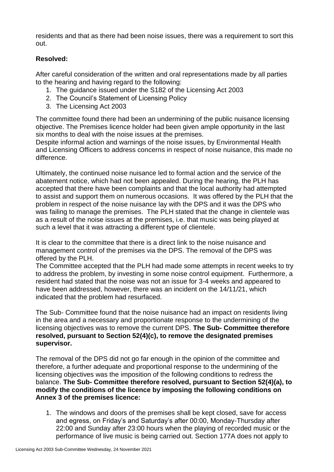residents and that as there had been noise issues, there was a requirement to sort this out.

# **Resolved:**

After careful consideration of the written and oral representations made by all parties to the hearing and having regard to the following:

- 1. The guidance issued under the S182 of the Licensing Act 2003
- 2. The Council's Statement of Licensing Policy
- 3. The Licensing Act 2003

The committee found there had been an undermining of the public nuisance licensing objective. The Premises licence holder had been given ample opportunity in the last six months to deal with the noise issues at the premises.

Despite informal action and warnings of the noise issues, by Environmental Health and Licensing Officers to address concerns in respect of noise nuisance, this made no difference.

Ultimately, the continued noise nuisance led to formal action and the service of the abatement notice, which had not been appealed. During the hearing, the PLH has accepted that there have been complaints and that the local authority had attempted to assist and support them on numerous occasions. It was offered by the PLH that the problem in respect of the noise nuisance lay with the DPS and it was the DPS who was failing to manage the premises. The PLH stated that the change in clientele was as a result of the noise issues at the premises, i.e. that music was being played at such a level that it was attracting a different type of clientele.

It is clear to the committee that there is a direct link to the noise nuisance and management control of the premises via the DPS. The removal of the DPS was offered by the PLH.

The Committee accepted that the PLH had made some attempts in recent weeks to try to address the problem, by investing in some noise control equipment. Furthermore, a resident had stated that the noise was not an issue for 3-4 weeks and appeared to have been addressed, however, there was an incident on the 14/11/21, which indicated that the problem had resurfaced.

The Sub- Committee found that the noise nuisance had an impact on residents living in the area and a necessary and proportionate response to the undermining of the licensing objectives was to remove the current DPS. **The Sub- Committee therefore resolved, pursuant to Section 52(4)(c), to remove the designated premises supervisor.**

The removal of the DPS did not go far enough in the opinion of the committee and therefore, a further adequate and proportional response to the undermining of the licensing objectives was the imposition of the following conditions to redress the balance. **The Sub- Committee therefore resolved, pursuant to Section 52(4)(a), to modify the conditions of the licence by imposing the following conditions on Annex 3 of the premises licence:**

1. The windows and doors of the premises shall be kept closed, save for access and egress, on Friday's and Saturday's after 00:00, Monday-Thursday after 22:00 and Sunday after 23:00 hours when the playing of recorded music or the performance of live music is being carried out. Section 177A does not apply to